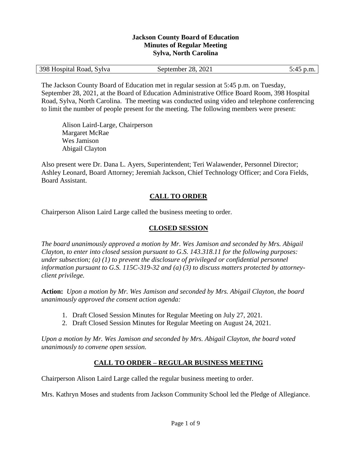### **Jackson County Board of Education Minutes of Regular Meeting Sylva, North Carolina**

| 398 Hospital Road, Sylva | September 28, 2021 | 5:45 p.m. |
|--------------------------|--------------------|-----------|
|--------------------------|--------------------|-----------|

The Jackson County Board of Education met in regular session at 5:45 p.m. on Tuesday, September 28, 2021, at the Board of Education Administrative Office Board Room, 398 Hospital Road, Sylva, North Carolina. The meeting was conducted using video and telephone conferencing to limit the number of people present for the meeting. The following members were present:

Alison Laird-Large, Chairperson Margaret McRae Wes Jamison Abigail Clayton

Also present were Dr. Dana L. Ayers, Superintendent; Teri Walawender, Personnel Director; Ashley Leonard, Board Attorney; Jeremiah Jackson, Chief Technology Officer; and Cora Fields, Board Assistant.

# **CALL TO ORDER**

Chairperson Alison Laird Large called the business meeting to order.

# **CLOSED SESSION**

*The board unanimously approved a motion by Mr. Wes Jamison and seconded by Mrs. Abigail Clayton, to enter into closed session pursuant to G.S. 143.318.11 for the following purposes: under subsection; (a) (1) to prevent the disclosure of privileged or confidential personnel information pursuant to G.S. 115C-319-32 and (a) (3) to discuss matters protected by attorneyclient privilege.* 

**Action:** *Upon a motion by Mr. Wes Jamison and seconded by Mrs. Abigail Clayton, the board unanimously approved the consent action agenda:*

- 1. Draft Closed Session Minutes for Regular Meeting on July 27, 2021.
- 2. Draft Closed Session Minutes for Regular Meeting on August 24, 2021.

*Upon a motion by Mr. Wes Jamison and seconded by Mrs. Abigail Clayton, the board voted unanimously to convene open session.*

# **CALL TO ORDER – REGULAR BUSINESS MEETING**

Chairperson Alison Laird Large called the regular business meeting to order.

Mrs. Kathryn Moses and students from Jackson Community School led the Pledge of Allegiance.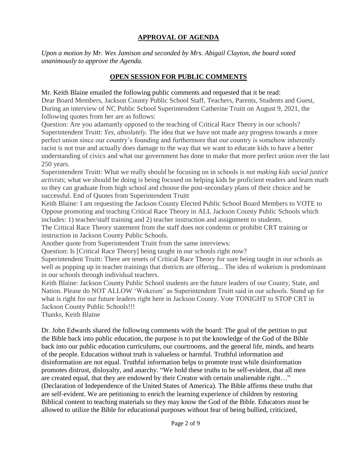## **APPROVAL OF AGENDA**

*Upon a motion by Mr. Wes Jamison and seconded by Mrs. Abigail Clayton, the board voted unanimously to approve the Agenda.*

## **OPEN SESSION FOR PUBLIC COMMENTS**

Mr. Keith Blaine emailed the following public comments and requested that it be read:

Dear Board Members, Jackson County Public School Staff, Teachers, Parents, Students and Guest, During an interview of NC Public School Superintendent Catherine Truitt on August 9, 2021, the following quotes from her are as follows:

Question: Are you adamantly opposed to the teaching of Critical Race Theory in our schools? Superintendent Truitt: *Yes, absolutely.* The idea that we have not made any progress towards a more perfect union since our country's founding and furthermore that our country is somehow inherently racist is not true and actually does damage to the way that we want to educate kids to have a better understanding of civics and what our government has done to make that more perfect union over the last 250 years.

Superintendent Truitt: What we really should be focusing on in schools is *not making kids social justice activists*; what we should be doing is being focused on helping kids be proficient readers and learn math so they can graduate from high school and choose the post-secondary plans of their choice and be successful. End of Quotes from Superintendent Truitt

Keith Blaine: I am requesting the Jackson County Elected Public School Board Members to VOTE to Oppose promoting and teaching Critical Race Theory in ALL Jackson County Public Schools which includes: 1) teacher/staff training and 2) teacher instruction and assignment to students.

The Critical Race Theory statement from the staff does not condemn or prohibit CRT training or instruction in Jackson County Public Schools.

Another quote from Superintendent Truitt from the same interviews:

Question: Is [Critical Race Theory] being taught in our schools right now?

Superintendent Truitt: There are tenets of Critical Race Theory for sure being taught in our schools as well as popping up in teacher trainings that districts are offering... The idea of wokeism is predominant in our schools through individual teachers.

Keith Blaine: Jackson County Public School students are the future leaders of our County, State, and Nation. Please do NOT ALLOW 'Wokeism' as Superintendent Truitt said in our schools. Stand up for what is right for our future leaders right here in Jackson County. Vote TONIGHT to STOP CRT in Jackson County Public Schools!!!

Thanks, Keith Blaine

Dr. John Edwards shared the following comments with the board: The goal of the petition to put the Bible back into public education, the purpose is to put the knowledge of the God of the Bible back into our public education curriculums, our courtrooms, and the general life, minds, and hearts of the people. Education without truth is valueless or harmful. Truthful information and disinformation are not equal. Truthful information helps to promote trust while disinformation promotes distrust, disloyalty, and anarchy. "We hold these truths to be self-evident, that all men are created equal, that they are endowed by their Creator with certain unalienable right…" (Declaration of Independence of the United States of America). The Bible affirms these truths that are self-evident. We are petitioning to enrich the learning experience of children by restoring Biblical content to teaching materials so they may know the God of the Bible. Educators must be allowed to utilize the Bible for educational purposes without fear of being bullied, criticized,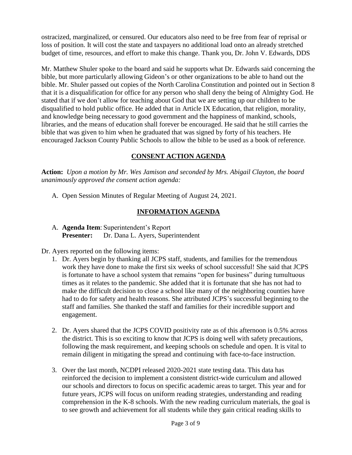ostracized, marginalized, or censured. Our educators also need to be free from fear of reprisal or loss of position. It will cost the state and taxpayers no additional load onto an already stretched budget of time, resources, and effort to make this change. Thank you, Dr. John V. Edwards, DDS

Mr. Matthew Shuler spoke to the board and said he supports what Dr. Edwards said concerning the bible, but more particularly allowing Gideon's or other organizations to be able to hand out the bible. Mr. Shuler passed out copies of the North Carolina Constitution and pointed out in Section 8 that it is a disqualification for office for any person who shall deny the being of Almighty God. He stated that if we don't allow for teaching about God that we are setting up our children to be disqualified to hold public office. He added that in Article IX Education, that religion, morality, and knowledge being necessary to good government and the happiness of mankind, schools, libraries, and the means of education shall forever be encouraged. He said that he still carries the bible that was given to him when he graduated that was signed by forty of his teachers. He encouraged Jackson County Public Schools to allow the bible to be used as a book of reference.

## **CONSENT ACTION AGENDA**

**Action:** *Upon a motion by Mr. Wes Jamison and seconded by Mrs. Abigail Clayton, the board unanimously approved the consent action agenda:*

A. Open Session Minutes of Regular Meeting of August 24, 2021.

## **INFORMATION AGENDA**

A. **Agenda Item**: Superintendent's Report **Presenter:** Dr. Dana L. Ayers, Superintendent

Dr. Ayers reported on the following items:

- 1. Dr. Ayers begin by thanking all JCPS staff, students, and families for the tremendous work they have done to make the first six weeks of school successful! She said that JCPS is fortunate to have a school system that remains "open for business" during tumultuous times as it relates to the pandemic. She added that it is fortunate that she has not had to make the difficult decision to close a school like many of the neighboring counties have had to do for safety and health reasons. She attributed JCPS's successful beginning to the staff and families. She thanked the staff and families for their incredible support and engagement.
- 2. Dr. Ayers shared that the JCPS COVID positivity rate as of this afternoon is 0.5% across the district. This is so exciting to know that JCPS is doing well with safety precautions, following the mask requirement, and keeping schools on schedule and open. It is vital to remain diligent in mitigating the spread and continuing with face-to-face instruction.
- 3. Over the last month, NCDPI released 2020-2021 state testing data. This data has reinforced the decision to implement a consistent district-wide curriculum and allowed our schools and directors to focus on specific academic areas to target. This year and for future years, JCPS will focus on uniform reading strategies, understanding and reading comprehension in the K-8 schools. With the new reading curriculum materials, the goal is to see growth and achievement for all students while they gain critical reading skills to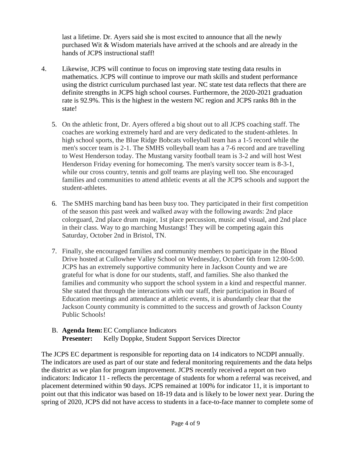last a lifetime. Dr. Ayers said she is most excited to announce that all the newly purchased Wit & Wisdom materials have arrived at the schools and are already in the hands of JCPS instructional staff!

- 4. Likewise, JCPS will continue to focus on improving state testing data results in mathematics. JCPS will continue to improve our math skills and student performance using the district curriculum purchased last year. NC state test data reflects that there are definite strengths in JCPS high school courses. Furthermore, the 2020-2021 graduation rate is 92.9%. This is the highest in the western NC region and JCPS ranks 8th in the state!
	- 5. On the athletic front, Dr. Ayers offered a big shout out to all JCPS coaching staff. The coaches are working extremely hard and are very dedicated to the student-athletes. In high school sports, the Blue Ridge Bobcats volleyball team has a 1-5 record while the men's soccer team is 2-1. The SMHS volleyball team has a 7-6 record and are travelling to West Henderson today. The Mustang varsity football team is 3-2 and will host West Henderson Friday evening for homecoming. The men's varsity soccer team is 8-3-1, while our cross country, tennis and golf teams are playing well too. She encouraged families and communities to attend athletic events at all the JCPS schools and support the student-athletes.
	- 6. The SMHS marching band has been busy too. They participated in their first competition of the season this past week and walked away with the following awards: 2nd place colorguard, 2nd place drum major, 1st place percussion, music and visual, and 2nd place in their class. Way to go marching Mustangs! They will be competing again this Saturday, October 2nd in Bristol, TN.
	- 7. Finally, she encouraged families and community members to participate in the Blood Drive hosted at Cullowhee Valley School on Wednesday, October 6th from 12:00-5:00. JCPS has an extremely supportive community here in Jackson County and we are grateful for what is done for our students, staff, and families. She also thanked the families and community who support the school system in a kind and respectful manner. She stated that through the interactions with our staff, their participation in Board of Education meetings and attendance at athletic events, it is abundantly clear that the Jackson County community is committed to the success and growth of Jackson County Public Schools!
	- B. **Agenda Item:**EC Compliance Indicators **Presenter:** Kelly Doppke, Student Support Services Director

The JCPS EC department is responsible for reporting data on 14 indicators to NCDPI annually. The indicators are used as part of our state and federal monitoring requirements and the data helps the district as we plan for program improvement. JCPS recently received a report on two indicators: Indicator 11 - reflects the percentage of students for whom a referral was received, and placement determined within 90 days. JCPS remained at 100% for indicator 11, it is important to point out that this indicator was based on 18-19 data and is likely to be lower next year. During the spring of 2020, JCPS did not have access to students in a face-to-face manner to complete some of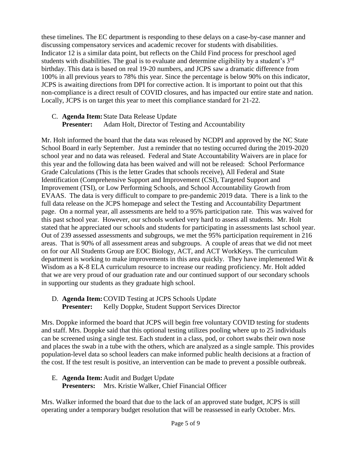these timelines. The EC department is responding to these delays on a case-by-case manner and discussing compensatory services and academic recover for students with disabilities. Indicator 12 is a similar data point, but reflects on the Child Find process for preschool aged students with disabilities. The goal is to evaluate and determine eligibility by a student's 3<sup>rd</sup> birthday. This data is based on real 19-20 numbers, and JCPS saw a dramatic difference from 100% in all previous years to 78% this year. Since the percentage is below 90% on this indicator, JCPS is awaiting directions from DPI for corrective action. It is important to point out that this non-compliance is a direct result of COVID closures, and has impacted our entire state and nation. Locally, JCPS is on target this year to meet this compliance standard for 21-22.

C. **Agenda Item:** State Data Release Update **Presenter:** Adam Holt, Director of Testing and Accountability

Mr. Holt informed the board that the data was released by NCDPI and approved by the NC State School Board in early September. Just a reminder that no testing occurred during the 2019-2020 school year and no data was released. Federal and State Accountability Waivers are in place for this year and the following data has been waived and will not be released: School Performance Grade Calculations (This is the letter Grades that schools receive), All Federal and State Identification (Comprehensive Support and Improvement (CSI), Targeted Support and Improvement (TSI), or Low Performing Schools, and School Accountability Growth from EVAAS. The data is very difficult to compare to pre-pandemic 2019 data. There is a link to the full data release on the JCPS homepage and select the Testing and Accountability Department page. On a normal year, all assessments are held to a 95% participation rate. This was waived for this past school year. However, our schools worked very hard to assess all students. Mr. Holt stated that he appreciated our schools and students for participating in assessments last school year. Out of 239 assessed assessments and subgroups, we met the 95% participation requirement in 216 areas. That is 90% of all assessment areas and subgroups. A couple of areas that we did not meet on for our All Students Group are EOC Biology, ACT, and ACT WorkKeys. The curriculum department is working to make improvements in this area quickly. They have implemented Wit & Wisdom as a K-8 ELA curriculum resource to increase our reading proficiency. Mr. Holt added that we are very proud of our graduation rate and our continued support of our secondary schools in supporting our students as they graduate high school.

D. **Agenda Item:**COVID Testing at JCPS Schools Update **Presenter:** Kelly Doppke, Student Support Services Director

Mrs. Doppke informed the board that JCPS will begin free voluntary COVID testing for students and staff. Mrs. Doppke said that this optional testing utilizes pooling where up to 25 individuals can be screened using a single test. Each student in a class, pod, or cohort swabs their own nose and places the swab in a tube with the others, which are analyzed as a single sample. This provides population-level data so school leaders can make informed public health decisions at a fraction of the cost. If the test result is positive, an intervention can be made to prevent a possible outbreak.

- E. **Agenda Item:** Audit and Budget Update
	- **Presenters:** Mrs. Kristie Walker, Chief Financial Officer

Mrs. Walker informed the board that due to the lack of an approved state budget, JCPS is still operating under a temporary budget resolution that will be reassessed in early October. Mrs.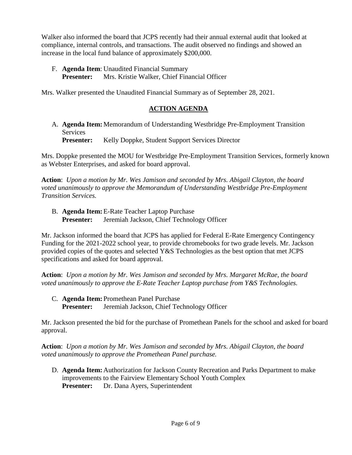Walker also informed the board that JCPS recently had their annual external audit that looked at compliance, internal controls, and transactions. The audit observed no findings and showed an increase in the local fund balance of approximately \$200,000.

F. **Agenda Item**: Unaudited Financial Summary **Presenter:** Mrs. Kristie Walker, Chief Financial Officer

Mrs. Walker presented the Unaudited Financial Summary as of September 28, 2021.

# **ACTION AGENDA**

A. **Agenda Item:** Memorandum of Understanding Westbridge Pre-Employment Transition **Services Presenter:** Kelly Doppke, Student Support Services Director

Mrs. Doppke presented the MOU for Westbridge Pre-Employment Transition Services, formerly known as Webster Enterprises, and asked for board approval.

**Action**: *Upon a motion by Mr. Wes Jamison and seconded by Mrs. Abigail Clayton, the board voted unanimously to approve the Memorandum of Understanding Westbridge Pre-Employment Transition Services.*

B. **Agenda Item:**E-Rate Teacher Laptop Purchase **Presenter:** Jeremiah Jackson, Chief Technology Officer

Mr. Jackson informed the board that JCPS has applied for Federal E-Rate Emergency Contingency Funding for the 2021-2022 school year, to provide chromebooks for two grade levels. Mr. Jackson provided copies of the quotes and selected Y&S Technologies as the best option that met JCPS specifications and asked for board approval.

**Action**: *Upon a motion by Mr. Wes Jamison and seconded by Mrs. Margaret McRae, the board voted unanimously to approve the E-Rate Teacher Laptop purchase from Y&S Technologies.*

C. **Agenda Item:** Promethean Panel Purchase **Presenter:** Jeremiah Jackson, Chief Technology Officer

Mr. Jackson presented the bid for the purchase of Promethean Panels for the school and asked for board approval.

**Action**: *Upon a motion by Mr. Wes Jamison and seconded by Mrs. Abigail Clayton, the board voted unanimously to approve the Promethean Panel purchase.*

D. **Agenda Item:** Authorization for Jackson County Recreation and Parks Department to make improvements to the Fairview Elementary School Youth Complex **Presenter:** Dr. Dana Ayers, Superintendent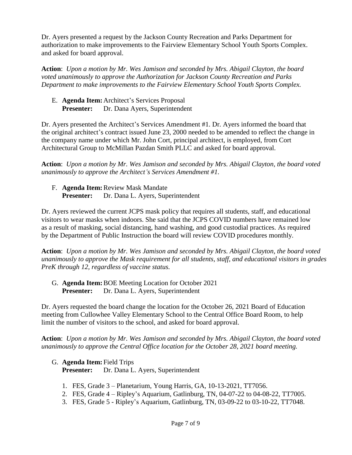Dr. Ayers presented a request by the Jackson County Recreation and Parks Department for authorization to make improvements to the Fairview Elementary School Youth Sports Complex. and asked for board approval.

**Action**: *Upon a motion by Mr. Wes Jamison and seconded by Mrs. Abigail Clayton, the board voted unanimously to approve the Authorization for Jackson County Recreation and Parks Department to make improvements to the Fairview Elementary School Youth Sports Complex.* 

E. **Agenda Item:** Architect's Services Proposal **Presenter:** Dr. Dana Ayers, Superintendent

Dr. Ayers presented the Architect's Services Amendment #1. Dr. Ayers informed the board that the original architect's contract issued June 23, 2000 needed to be amended to reflect the change in the company name under which Mr. John Cort, principal architect, is employed, from Cort Architectural Group to McMillan Pazdan Smith PLLC and asked for board approval.

**Action**: *Upon a motion by Mr. Wes Jamison and seconded by Mrs. Abigail Clayton, the board voted unanimously to approve the Architect's Services Amendment #1.*

F. **Agenda Item:**Review Mask Mandate **Presenter:** Dr. Dana L. Ayers, Superintendent

Dr. Ayers reviewed the current JCPS mask policy that requires all students, staff, and educational visitors to wear masks when indoors. She said that the JCPS COVID numbers have remained low as a result of masking, social distancing, hand washing, and good custodial practices. As required by the Department of Public Instruction the board will review COVID procedures monthly.

**Action**: *Upon a motion by Mr. Wes Jamison and seconded by Mrs. Abigail Clayton, the board voted unanimously to approve the Mask requirement for all students, staff, and educational visitors in grades PreK through 12, regardless of vaccine status.*

G. **Agenda Item:**BOE Meeting Location for October 2021 **Presenter:** Dr. Dana L. Ayers, Superintendent

Dr. Ayers requested the board change the location for the October 26, 2021 Board of Education meeting from Cullowhee Valley Elementary School to the Central Office Board Room, to help limit the number of visitors to the school, and asked for board approval.

**Action**: *Upon a motion by Mr. Wes Jamison and seconded by Mrs. Abigail Clayton, the board voted unanimously to approve the Central Office location for the October 28, 2021 board meeting.*

- G. **Agenda Item:** Field Trips **Presenter:** Dr. Dana L. Ayers, Superintendent
	- 1. FES, Grade 3 Planetarium, Young Harris, GA, 10-13-2021, TT7056.
	- 2. FES, Grade 4 Ripley's Aquarium, Gatlinburg, TN, 04-07-22 to 04-08-22, TT7005.
	- 3. FES, Grade 5 Ripley's Aquarium, Gatlinburg, TN, 03-09-22 to 03-10-22, TT7048.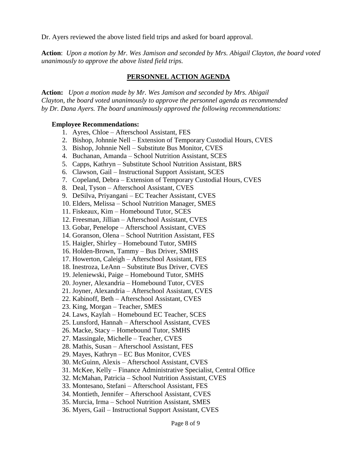Dr. Ayers reviewed the above listed field trips and asked for board approval.

**Action**: *Upon a motion by Mr. Wes Jamison and seconded by Mrs. Abigail Clayton, the board voted unanimously to approve the above listed field trips.*

### **PERSONNEL ACTION AGENDA**

**Action:** *Upon a motion made by Mr. Wes Jamison and seconded by Mrs. Abigail Clayton, the board voted unanimously to approve the personnel agenda as recommended by Dr. Dana Ayers. The board unanimously approved the following recommendations:*

#### **Employee Recommendations:**

- 1. Ayres, Chloe Afterschool Assistant, FES
- 2. Bishop, Johnnie Nell Extension of Temporary Custodial Hours, CVES
- 3. Bishop, Johnnie Nell Substitute Bus Monitor, CVES
- 4. Buchanan, Amanda School Nutrition Assistant, SCES
- 5. Capps, Kathryn Substitute School Nutrition Assistant, BRS
- 6. Clawson, Gail Instructional Support Assistant, SCES
- 7. Copeland, Debra Extension of Temporary Custodial Hours, CVES
- 8. Deal, Tyson Afterschool Assistant, CVES
- 9. DeSilva, Priyangani EC Teacher Assistant, CVES
- 10. Elders, Melissa School Nutrition Manager, SMES
- 11. Fiskeaux, Kim Homebound Tutor, SCES
- 12. Freesman, Jillian Afterschool Assistant, CVES
- 13. Gobar, Penelope Afterschool Assistant, CVES
- 14. Goranson, Olena School Nutrition Assistant, FES
- 15. Haigler, Shirley Homebound Tutor, SMHS
- 16. Holden-Brown, Tammy Bus Driver, SMHS
- 17. Howerton, Caleigh Afterschool Assistant, FES
- 18. Inestroza, LeAnn Substitute Bus Driver, CVES
- 19. Jeleniewski, Paige Homebound Tutor, SMHS
- 20. Joyner, Alexandria Homebound Tutor, CVES
- 21. Joyner, Alexandria Afterschool Assistant, CVES
- 22. Kabinoff, Beth Afterschool Assistant, CVES
- 23. King, Morgan Teacher, SMES
- 24. Laws, Kaylah Homebound EC Teacher, SCES
- 25. Lunsford, Hannah Afterschool Assistant, CVES
- 26. Macke, Stacy Homebound Tutor, SMHS
- 27. Massingale, Michelle Teacher, CVES
- 28. Mathis, Susan Afterschool Assistant, FES
- 29. Mayes, Kathryn EC Bus Monitor, CVES
- 30. McGuinn, Alexis Afterschool Assistant, CVES
- 31. McKee, Kelly Finance Administrative Specialist, Central Office
- 32. McMahan, Patricia School Nutrition Assistant, CVES
- 33. Montesano, Stefani Afterschool Assistant, FES
- 34. Montieth, Jennifer Afterschool Assistant, CVES
- 35. Murcia, Irma School Nutrition Assistant, SMES
- 36. Myers, Gail Instructional Support Assistant, CVES